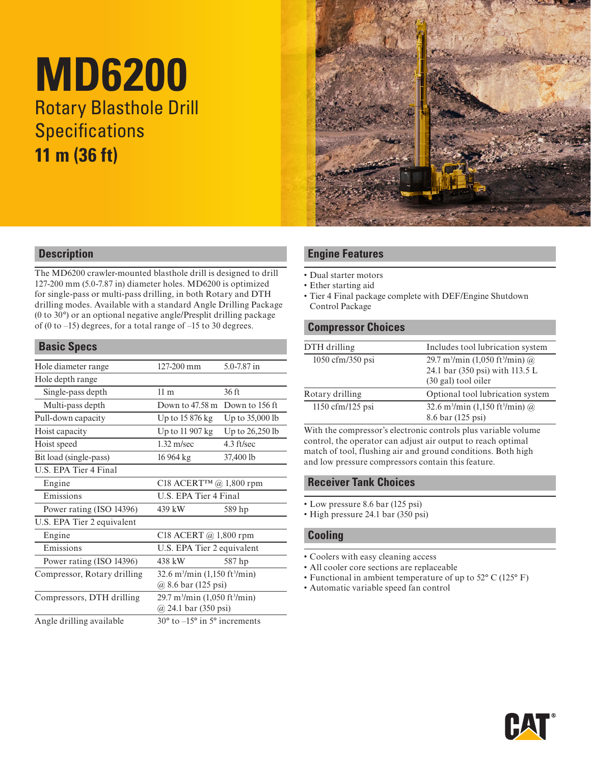# **MD6200** Rotary Blasthole Drill **Specifications 11 m (36 ft)**



## **Description**

The MD6200 crawler-mounted blasthole drill is designed to drill 127-200 mm (5.0-7.87 in) diameter holes. MD6200 is optimized for single-pass or multi-pass drilling, in both Rotary and DTH drilling modes. Available with a standard Angle Drilling Package (0 to 30°) or an optional negative angle/Presplit drilling package of (0 to –15) degrees, for a total range of –15 to 30 degrees.

## **Basic Specs**

| Hole diameter range         | 127-200 mm                                                                         | 5.0-7.87 in      |
|-----------------------------|------------------------------------------------------------------------------------|------------------|
| Hole depth range            |                                                                                    |                  |
| Single-pass depth           | 11 <sub>m</sub>                                                                    | 36 <sub>ft</sub> |
| Multi-pass depth            | Down to $47.58 \text{ m}$                                                          | Down to 156 ft.  |
| Pull-down capacity          | Up to 15 876 kg                                                                    | Up to 35,000 lb  |
| Hoist capacity              | Up to 11 907 kg                                                                    | Up to 26,250 lb  |
| Hoist speed                 | $1.32$ m/sec                                                                       | 4.3 ft/sec       |
| Bit load (single-pass)      | 16 964 kg                                                                          | 37,400 lb        |
| U.S. EPA Tier 4 Final       |                                                                                    |                  |
| Engine                      | C18 ACERT <sup>TM</sup> @ 1,800 rpm                                                |                  |
| Emissions                   | U.S. EPA Tier 4 Final                                                              |                  |
| Power rating (ISO 14396)    | 439 kW                                                                             | 589 hp           |
| U.S. EPA Tier 2 equivalent  |                                                                                    |                  |
| Engine                      | C18 ACERT @ 1,800 rpm                                                              |                  |
| Emissions                   | U.S. EPA Tier 2 equivalent                                                         |                  |
| Power rating (ISO 14396)    | 438 kW                                                                             | 587 hp           |
| Compressor, Rotary drilling | $32.6 \text{ m}^3/\text{min}$ (1,150 ft $^3/\text{min}$ )<br>@ 8.6 bar (125 psi)   |                  |
| Compressors, DTH drilling   | $29.7 \text{ m}^3/\text{min}$ (1,050 ft <sup>3</sup> /min)<br>@ 24.1 bar (350 psi) |                  |
| Angle drilling available    | $30^{\circ}$ to $-15^{\circ}$ in $5^{\circ}$ increments                            |                  |

## **Engine Features**

- Dual starter motors
- Ether starting aid
- Tier 4 Final package complete with DEF/Engine Shutdown Control Package

#### **Compressor Choices**

| DTH drilling                       | Includes tool lubrication system                                                                                  |
|------------------------------------|-------------------------------------------------------------------------------------------------------------------|
| $1050 \text{ cfm}/350 \text{psi}$  | 29.7 m <sup>3</sup> /min (1,050 ft <sup>3</sup> /min) @<br>24.1 bar (350 psi) with 113.5 L<br>(30 gal) tool oiler |
| Rotary drilling                    | Optional tool lubrication system                                                                                  |
| $1150 \text{ cfm}/125 \text{ psi}$ | 32.6 m <sup>3</sup> /min (1,150 ft <sup>3</sup> /min) @<br>8.6 bar (125 psi)                                      |

With the compressor's electronic controls plus variable volume control, the operator can adjust air output to reach optimal match of tool, flushing air and ground conditions. Both high and low pressure compressors contain this feature.

## **Receiver Tank Choices**

- Low pressure 8.6 bar (125 psi)
- High pressure 24.1 bar (350 psi)

#### **Cooling**

- Coolers with easy cleaning access
- All cooler core sections are replaceable
- Functional in ambient temperature of up to 52° C (125° F)
- Automatic variable speed fan control

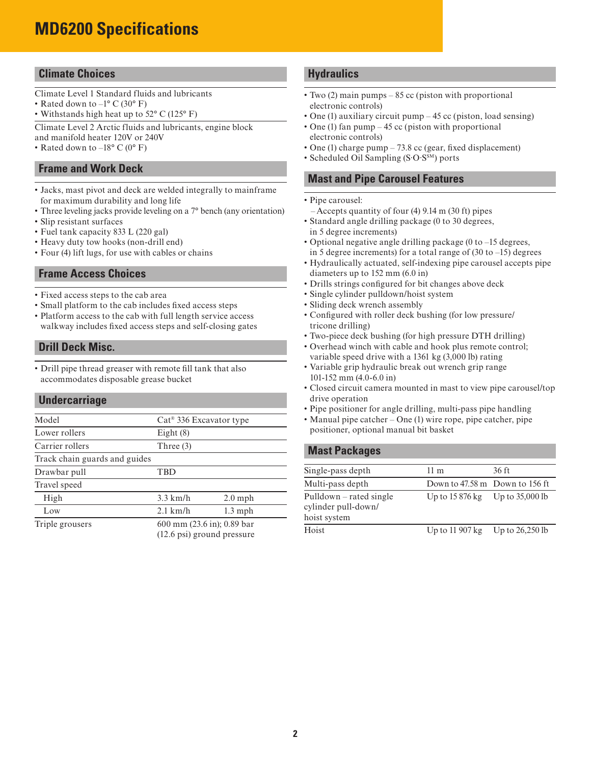## **MD6200 Specifications**

## **Climate Choices**

- Climate Level 1 Standard fluids and lubricants
- Rated down to  $-1^{\circ}$  C (30° F)
- Withstands high heat up to 52° C (125° F)

Climate Level 2 Arctic fluids and lubricants, engine block and manifold heater 120V or 240V

• Rated down to  $-18^{\circ}$  C (0° F)

## **Frame and Work Deck**

- Jacks, mast pivot and deck are welded integrally to mainframe for maximum durability and long life
- Three leveling jacks provide leveling on a 7° bench (any orientation)
- Slip resistant surfaces
- Fuel tank capacity 833 L (220 gal)
- Heavy duty tow hooks (non-drill end)
- Four (4) lift lugs, for use with cables or chains

## **Frame Access Choices**

- Fixed access steps to the cab area
- Small platform to the cab includes fixed access steps
- Platform access to the cab with full length service access walkway includes fixed access steps and self-closing gates

## **Drill Deck Misc.**

• Drill pipe thread greaser with remote fill tank that also accommodates disposable grease bucket

## **Undercarriage**

| Model                         |             | Cat <sup>®</sup> 336 Excavator type                      |  |
|-------------------------------|-------------|----------------------------------------------------------|--|
| Lower rollers                 | Eight $(8)$ |                                                          |  |
| Carrier rollers               | Three $(3)$ |                                                          |  |
| Track chain guards and guides |             |                                                          |  |
| Drawbar pull                  | TBD         |                                                          |  |
| Travel speed                  |             |                                                          |  |
| High                          | $3.3$ km/h  | $2.0$ mph                                                |  |
| Low                           | $2.1$ km/h  | $1.3$ mph                                                |  |
| Triple grousers               |             | 600 mm (23.6 in); 0.89 bar<br>(12.6 psi) ground pressure |  |

## **Hydraulics**

- Two (2) main pumps 85 cc (piston with proportional electronic controls)
- One (1) auxiliary circuit pump 45 cc (piston, load sensing)
- One (1) fan pump 45 cc (piston with proportional electronic controls)
- One (1) charge pump 73.8 cc (gear, fixed displacement)
- Scheduled Oil Sampling (S·O·S<sup>SM</sup>) ports

#### **Mast and Pipe Carousel Features**

- Pipe carousel:
- Accepts quantity of four (4) 9.14 m (30 ft) pipes
- Standard angle drilling package (0 to 30 degrees, in 5 degree increments)
- Optional negative angle drilling package (0 to –15 degrees, in 5 degree increments) for a total range of (30 to –15) degrees
- Hydraulically actuated, self-indexing pipe carousel accepts pipe diameters up to 152 mm (6.0 in)
- Drills strings configured for bit changes above deck
- Single cylinder pulldown/hoist system
- Sliding deck wrench assembly
- Configured with roller deck bushing (for low pressure/ tricone drilling)
- Two-piece deck bushing (for high pressure DTH drilling)
- Overhead winch with cable and hook plus remote control; variable speed drive with a 1361 kg (3,000 lb) rating
- Variable grip hydraulic break out wrench grip range 101-152 mm (4.0-6.0 in)
- Closed circuit camera mounted in mast to view pipe carousel/top drive operation
- Pipe positioner for angle drilling, multi-pass pipe handling
- Manual pipe catcher One (1) wire rope, pipe catcher, pipe positioner, optional manual bit basket

## **Mast Packages**

| Single-pass depth                                                | 11 m                                               | 36 <sub>f</sub>   |
|------------------------------------------------------------------|----------------------------------------------------|-------------------|
| Multi-pass depth                                                 | Down to $47.58 \text{ m}$ Down to 156 ft           |                   |
| $Pulldown - rated single$<br>cylinder pull-down/<br>hoist system | Up to $15876 \text{ kg}$ Up to $35,000 \text{ lb}$ |                   |
| Hoist                                                            | Up to $11\,907\,\mathrm{kg}$                       | Up to $26,250$ lb |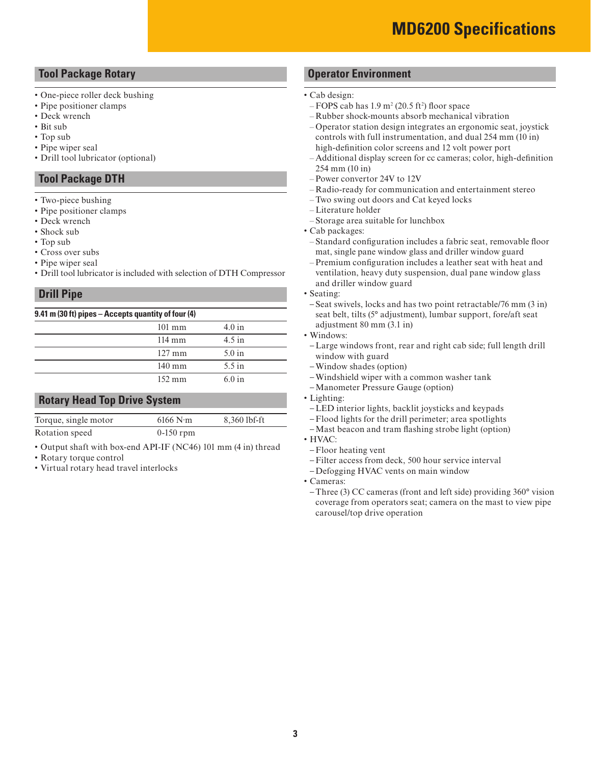## **Tool Package Rotary**

- One-piece roller deck bushing
- Pipe positioner clamps
- Deck wrench
- Bit sub
- Top sub
- Pipe wiper seal
- Drill tool lubricator (optional)

## **Tool Package DTH**

- Two-piece bushing
- Pipe positioner clamps
- Deck wrench
- Shock sub
- Top sub
- Cross over subs
- Pipe wiper seal
- Drill tool lubricator is included with selection of DTH Compressor

## **Drill Pipe**

| 9.41 m (30 ft) pipes – Accepts quantity of four (4) |
|-----------------------------------------------------|
|-----------------------------------------------------|

| $101$ mm         | 4.0 in   |
|------------------|----------|
| $114 \text{ mm}$ | $4.5$ in |
| $127 \text{ mm}$ | $5.0$ in |
| $140 \text{ mm}$ | $5.5$ in |
| $152 \text{ mm}$ | 6.0 in   |

## **Rotary Head Top Drive System**

| Torque, single motor | $6166$ N $\cdot$ m | 8,360 lbf-ft |
|----------------------|--------------------|--------------|
| Rotation speed       | $0-150$ rpm        |              |

- Output shaft with box-end API-IF (NC46) 101 mm (4 in) thread
- Rotary torque control
- Virtual rotary head travel interlocks

## **Operator Environment**

#### • Cab design:

- $-$  FOPS cab has 1.9 m<sup>2</sup> (20.5 ft<sup>2</sup>) floor space
- Rubber shock-mounts absorb mechanical vibration
- Operator station design integrates an ergonomic seat, joystick controls with full instrumentation, and dual 254 mm (10 in) high-definition color screens and 12 volt power port
- Additional display screen for cc cameras; color, high-definition 254 mm (10 in)
- Power convertor 24V to 12V
- Radio-ready for communication and entertainment stereo
- Two swing out doors and Cat keyed locks
- Literature holder
- Storage area suitable for lunchbox
- Cab packages:
- Standard configuration includes a fabric seat, removable floor mat, single pane window glass and driller window guard
- Premium configuration includes a leather seat with heat and ventilation, heavy duty suspension, dual pane window glass and driller window guard
- Seating:
- Seat swivels, locks and has two point retractable/76 mm (3 in) seat belt, tilts (5° adjustment), lumbar support, fore/aft seat adjustment 80 mm (3.1 in)
- Windows:
- Large windows front, rear and right cab side; full length drill window with guard
- Window shades (option)
- Windshield wiper with a common washer tank
- Manometer Pressure Gauge (option)
- Lighting:
	- LED interior lights, backlit joysticks and keypads
	- Flood lights for the drill perimeter; area spotlights
	- Mast beacon and tram flashing strobe light (option)
- HVAC:
- Floor heating vent
- Filter access from deck, 500 hour service interval
- Defogging HVAC vents on main window
- Cameras:
- Three (3) CC cameras (front and left side) providing 360° vision coverage from operators seat; camera on the mast to view pipe carousel/top drive operation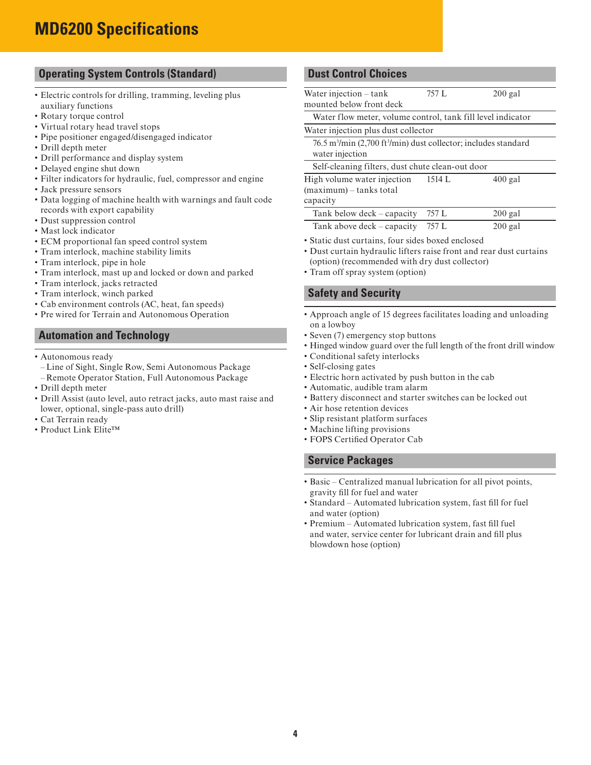## **MD6200 Specifications**

## **Operating System Controls (Standard)**

- Electric controls for drilling, tramming, leveling plus auxiliary functions
- Rotary torque control
- Virtual rotary head travel stops
- Pipe positioner engaged/disengaged indicator
- Drill depth meter
- Drill performance and display system
- Delayed engine shut down
- Filter indicators for hydraulic, fuel, compressor and engine
- Jack pressure sensors
- Data logging of machine health with warnings and fault code records with export capability
- Dust suppression control
- Mast lock indicator
- ECM proportional fan speed control system
- Tram interlock, machine stability limits
- Tram interlock, pipe in hole
- Tram interlock, mast up and locked or down and parked
- Tram interlock, jacks retracted
- Tram interlock, winch parked
- Cab environment controls (AC, heat, fan speeds)
- Pre wired for Terrain and Autonomous Operation

## **Automation and Technology**

- Autonomous ready
- Line of Sight, Single Row, Semi Autonomous Package
- Remote Operator Station, Full Autonomous Package
- Drill depth meter
- Drill Assist (auto level, auto retract jacks, auto mast raise and lower, optional, single-pass auto drill)
- Cat Terrain ready
- Product Link Elite™

## **Dust Control Choices**

| Water injection – tank<br>mounted below front deck                                                             | 757 L    | $200$ gal |
|----------------------------------------------------------------------------------------------------------------|----------|-----------|
|                                                                                                                |          |           |
| Water flow meter, volume control, tank fill level indicator                                                    |          |           |
| Water injection plus dust collector                                                                            |          |           |
| $76.5$ m <sup>3</sup> /min $(2,700$ ft <sup>3</sup> /min) dust collector; includes standard<br>water injection |          |           |
| Self-cleaning filters, dust chute clean-out door                                                               |          |           |
| High volume water injection<br>$(maximum)$ – tanks total<br>capacity                                           | $1514$ L | $400$ gal |
| Tank below deck – capacity                                                                                     | 757 L    | $200$ gal |
| Tank above deck – capacity                                                                                     | 757 L    | $200$ gal |

- Static dust curtains, four sides boxed enclosed
- Dust curtain hydraulic lifters raise front and rear dust curtains (option) (recommended with dry dust collector)
- Tram off spray system (option)

## **Safety and Security**

- Approach angle of 15 degrees facilitates loading and unloading on a lowboy
- Seven (7) emergency stop buttons
- Hinged window guard over the full length of the front drill window
- Conditional safety interlocks
- Self-closing gates
- Electric horn activated by push button in the cab
- Automatic, audible tram alarm
- Battery disconnect and starter switches can be locked out
- Air hose retention devices
- Slip resistant platform surfaces
- Machine lifting provisions
- FOPS Certified Operator Cab

## **Service Packages**

- Basic Centralized manual lubrication for all pivot points, gravity fill for fuel and water
- Standard Automated lubrication system, fast fill for fuel and water (option)
- Premium Automated lubrication system, fast fill fuel and water, service center for lubricant drain and fill plus blowdown hose (option)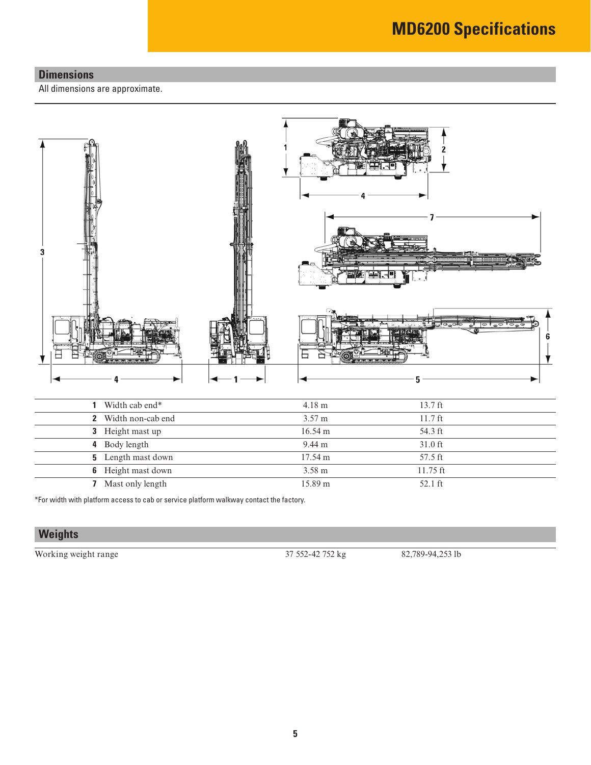## **MD6200 Specifications**

## **Dimensions**

All dimensions are approximate.



| Width cab end*            | $4.18 \text{ m}$  | $13.7 \text{ ft}$ |  |
|---------------------------|-------------------|-------------------|--|
| 2 Width non-cab end       | $3.57 \text{ m}$  | 11.7 $ft$         |  |
| <b>3</b> Height mast up   | $16.54 \text{ m}$ | 54.3 ft           |  |
| 4 Body length             | $9.44 \text{ m}$  | $31.0$ ft         |  |
| <b>5</b> Length mast down | $17.54 \text{ m}$ | 57.5 ft           |  |
| <b>6</b> Height mast down | $3.58 \text{ m}$  | $11.75$ ft        |  |
| <b>7</b> Mast only length | 15.89 m           | $52.1$ ft         |  |

\*For width with platform access to cab or service platform walkway contact the factory.

## **Weights**

Working weight range 37 552-42 752 kg 82,789-94,253 lb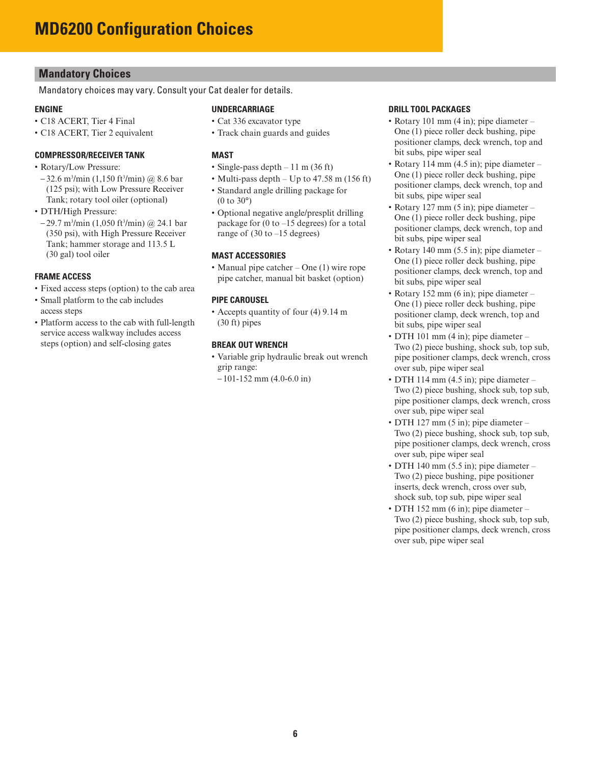## **Mandatory Choices**

Mandatory choices may vary. Consult your Cat dealer for details.

#### **ENGINE**

- C18 ACERT, Tier 4 Final
- C18 ACERT, Tier 2 equivalent

#### **COMPRESSOR/RECEIVER TANK**

- Rotary/Low Pressure:
	- $-32.6$  m<sup>3</sup>/min  $(1,150$  ft<sup>3</sup>/min) @ 8.6 bar (125 psi); with Low Pressure Receiver Tank; rotary tool oiler (optional)
- DTH/High Pressure:
	- 29.7 m3 /min (1,050 ft3 /min) @ 24.1 bar (350 psi), with High Pressure Receiver Tank; hammer storage and 113.5 L (30 gal) tool oiler

#### **FRAME ACCESS**

- Fixed access steps (option) to the cab area
- Small platform to the cab includes access steps
- Platform access to the cab with full-length service access walkway includes access steps (option) and self-closing gates

#### **UNDERCARRIAGE**

- Cat 336 excavator type
- Track chain guards and guides

#### **MAST**

- Single-pass depth 11 m (36 ft)
- Multi-pass depth Up to 47.58 m (156 ft)
- Standard angle drilling package for (0 to 30°)
- Optional negative angle/presplit drilling package for (0 to –15 degrees) for a total range of  $(30 \text{ to } -15 \text{ degrees})$

#### **MAST ACCESSORIES**

• Manual pipe catcher – One (1) wire rope pipe catcher, manual bit basket (option)

#### **PIPE CAROUSEL**

• Accepts quantity of four (4) 9.14 m (30 ft) pipes

#### **BREAK OUT WRENCH**

- Variable grip hydraulic break out wrench grip range:
- $-101-152$  mm (4.0-6.0 in)

#### **DRILL TOOL PACKAGES**

- Rotary 101 mm (4 in); pipe diameter One (1) piece roller deck bushing, pipe positioner clamps, deck wrench, top and bit subs, pipe wiper seal
- Rotary 114 mm (4.5 in); pipe diameter One (1) piece roller deck bushing, pipe positioner clamps, deck wrench, top and bit subs, pipe wiper seal
- Rotary 127 mm (5 in); pipe diameter One (1) piece roller deck bushing, pipe positioner clamps, deck wrench, top and bit subs, pipe wiper seal
- Rotary 140 mm (5.5 in); pipe diameter One (1) piece roller deck bushing, pipe positioner clamps, deck wrench, top and bit subs, pipe wiper seal
- Rotary 152 mm (6 in); pipe diameter One (1) piece roller deck bushing, pipe positioner clamp, deck wrench, top and bit subs, pipe wiper seal
- DTH 101 mm (4 in); pipe diameter Two (2) piece bushing, shock sub, top sub, pipe positioner clamps, deck wrench, cross over sub, pipe wiper seal
- DTH 114 mm  $(4.5 \text{ in})$ ; pipe diameter Two (2) piece bushing, shock sub, top sub, pipe positioner clamps, deck wrench, cross over sub, pipe wiper seal
- DTH 127 mm (5 in); pipe diameter Two (2) piece bushing, shock sub, top sub, pipe positioner clamps, deck wrench, cross over sub, pipe wiper seal
- DTH 140 mm (5.5 in); pipe diameter Two (2) piece bushing, pipe positioner inserts, deck wrench, cross over sub, shock sub, top sub, pipe wiper seal
- DTH 152 mm (6 in); pipe diameter Two (2) piece bushing, shock sub, top sub, pipe positioner clamps, deck wrench, cross over sub, pipe wiper seal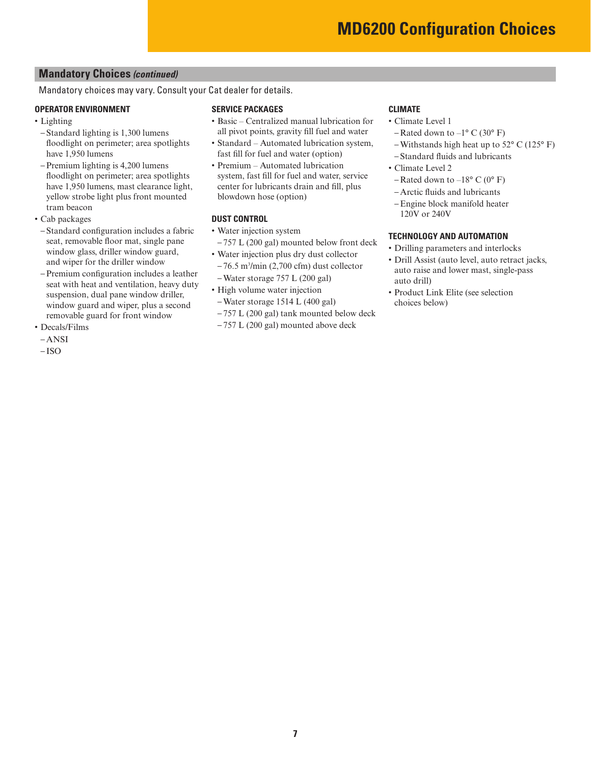## **Mandatory Choices** *(continued)*

Mandatory choices may vary. Consult your Cat dealer for details.

#### **OPERATOR ENVIRONMENT**

- Lighting
- Standard lighting is 1,300 lumens floodlight on perimeter; area spotlights have 1,950 lumens
- Premium lighting is 4,200 lumens floodlight on perimeter; area spotlights have 1,950 lumens, mast clearance light, yellow strobe light plus front mounted tram beacon
- Cab packages
- Standard configuration includes a fabric seat, removable floor mat, single pane window glass, driller window guard, and wiper for the driller window
- Premium configuration includes a leather seat with heat and ventilation, heavy duty suspension, dual pane window driller, window guard and wiper, plus a second removable guard for front window
- Decals/Films
- ANSI
- ISO

#### **SERVICE PACKAGES**

- Basic Centralized manual lubrication for all pivot points, gravity fill fuel and water
- Standard Automated lubrication system, fast fill for fuel and water (option)
- Premium Automated lubrication system, fast fill for fuel and water, service center for lubricants drain and fill, plus blowdown hose (option)

#### **DUST CONTROL**

- Water injection system
- 757 L (200 gal) mounted below front deck
- Water injection plus dry dust collector – 76.5 m3 /min (2,700 cfm) dust collector
- Water storage 757 L (200 gal)
- High volume water injection
- Water storage 1514 L (400 gal)
- 757 L (200 gal) tank mounted below deck
- 757 L (200 gal) mounted above deck

#### **CLIMATE**

- Climate Level 1
- Rated down to  $-1^{\circ}$  C (30° F)
- Withstands high heat up to  $52^{\circ}$  C (125 $^{\circ}$  F)
- Standard fluids and lubricants
- Climate Level 2
- Rated down to – $18^{\circ}$  C (0° F)
- Arctic fluids and lubricants
- Engine block manifold heater 120V or 240V

#### **TECHNOLOGY AND AUTOMATION**

- Drilling parameters and interlocks
- Drill Assist (auto level, auto retract jacks, auto raise and lower mast, single-pass auto drill)
- Product Link Elite (see selection choices below)